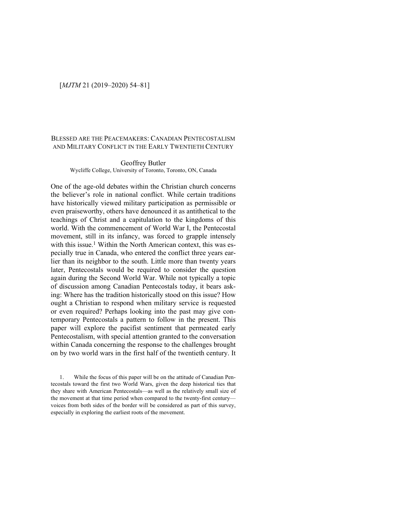# [*MJTM* 21 (2019–2020) 54–81]

# BLESSED ARE THE PEACEMAKERS: CANADIAN PENTECOSTALISM AND MILITARY CONFLICT IN THE EARLY TWENTIETH CENTURY

### Geoffrey Butler Wycliffe College, University of Toronto, Toronto, ON, Canada

One of the age-old debates within the Christian church concerns the believer's role in national conflict. While certain traditions have historically viewed military participation as permissible or even praiseworthy, others have denounced it as antithetical to the teachings of Christ and a capitulation to the kingdoms of this world. With the commencement of World War I, the Pentecostal movement, still in its infancy, was forced to grapple intensely with this issue.<sup>1</sup> Within the North American context, this was especially true in Canada, who entered the conflict three years earlier than its neighbor to the south. Little more than twenty years later, Pentecostals would be required to consider the question again during the Second World War. While not typically a topic of discussion among Canadian Pentecostals today, it bears asking: Where has the tradition historically stood on this issue? How ought a Christian to respond when military service is requested or even required? Perhaps looking into the past may give contemporary Pentecostals a pattern to follow in the present. This paper will explore the pacifist sentiment that permeated early Pentecostalism, with special attention granted to the conversation within Canada concerning the response to the challenges brought on by two world wars in the first half of the twentieth century. It

<sup>1.</sup> While the focus of this paper will be on the attitude of Canadian Pentecostals toward the first two World Wars, given the deep historical ties that they share with American Pentecostals—as well as the relatively small size of the movement at that time period when compared to the twenty-first century voices from both sides of the border will be considered as part of this survey, especially in exploring the earliest roots of the movement.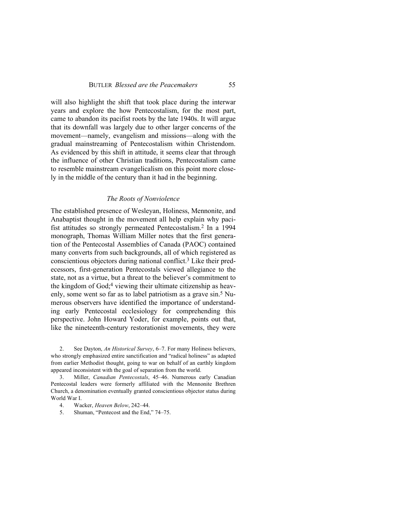will also highlight the shift that took place during the interwar years and explore the how Pentecostalism, for the most part, came to abandon its pacifist roots by the late 1940s. It will argue that its downfall was largely due to other larger concerns of the movement—namely, evangelism and missions—along with the gradual mainstreaming of Pentecostalism within Christendom. As evidenced by this shift in attitude, it seems clear that through the influence of other Christian traditions, Pentecostalism came to resemble mainstream evangelicalism on this point more closely in the middle of the century than it had in the beginning.

#### *The Roots of Nonviolence*

The established presence of Wesleyan, Holiness, Mennonite, and Anabaptist thought in the movement all help explain why pacifist attitudes so strongly permeated Pentecostalism. <sup>2</sup> In a 1994 monograph, Thomas William Miller notes that the first generation of the Pentecostal Assemblies of Canada (PAOC) contained many converts from such backgrounds, all of which registered as conscientious objectors during national conflict.3 Like their predecessors, first-generation Pentecostals viewed allegiance to the state, not as a virtue, but a threat to the believer's commitment to the kingdom of God;<sup>4</sup> viewing their ultimate citizenship as heavenly, some went so far as to label patriotism as a grave sin.<sup>5</sup> Numerous observers have identified the importance of understanding early Pentecostal ecclesiology for comprehending this perspective. John Howard Yoder, for example, points out that, like the nineteenth-century restorationist movements, they were

2. See Dayton, *An Historical Survey*, 6–7. For many Holiness believers, who strongly emphasized entire sanctification and "radical holiness" as adapted from earlier Methodist thought, going to war on behalf of an earthly kingdom appeared inconsistent with the goal of separation from the world.

3. Miller, *Canadian Pentecostals*, 45–46. Numerous early Canadian Pentecostal leaders were formerly affiliated with the Mennonite Brethren Church, a denomination eventually granted conscientious objector status during World War I.

- 4. Wacker, *Heaven Below*, 242–44.
- 5. Shuman, "Pentecost and the End," 74–75.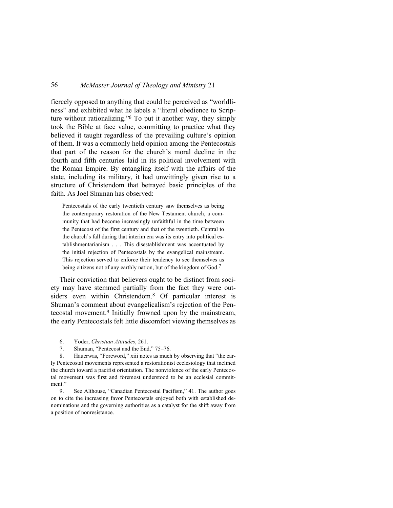fiercely opposed to anything that could be perceived as "worldliness" and exhibited what he labels a "literal obedience to Scripture without rationalizing."6 To put it another way, they simply took the Bible at face value, committing to practice what they believed it taught regardless of the prevailing culture's opinion of them. It was a commonly held opinion among the Pentecostals that part of the reason for the church's moral decline in the fourth and fifth centuries laid in its political involvement with the Roman Empire. By entangling itself with the affairs of the state, including its military, it had unwittingly given rise to a structure of Christendom that betrayed basic principles of the faith. As Joel Shuman has observed:

Pentecostals of the early twentieth century saw themselves as being the contemporary restoration of the New Testament church, a community that had become increasingly unfaithful in the time between the Pentecost of the first century and that of the twentieth. Central to the church's fall during that interim era was its entry into political establishmentarianism . . . This disestablishment was accentuated by the initial rejection of Pentecostals by the evangelical mainstream. This rejection served to enforce their tendency to see themselves as being citizens not of any earthly nation, but of the kingdom of God.<sup>7</sup>

Their conviction that believers ought to be distinct from society may have stemmed partially from the fact they were outsiders even within Christendom.8 Of particular interest is Shuman's comment about evangelicalism's rejection of the Pentecostal movement.9 Initially frowned upon by the mainstream, the early Pentecostals felt little discomfort viewing themselves as

- 6. Yoder, *Christian Attitudes*, 261.
- 7. Shuman, "Pentecost and the End," 75–76.

8. Hauerwas, "Foreword," xiii notes as much by observing that "the early Pentecostal movements represented a restorationist ecclesiology that inclined the church toward a pacifist orientation. The nonviolence of the early Pentecostal movement was first and foremost understood to be an ecclesial commitment."

9. See Althouse, "Canadian Pentecostal Pacifism," 41. The author goes on to cite the increasing favor Pentecostals enjoyed both with established denominations and the governing authorities as a catalyst for the shift away from a position of nonresistance.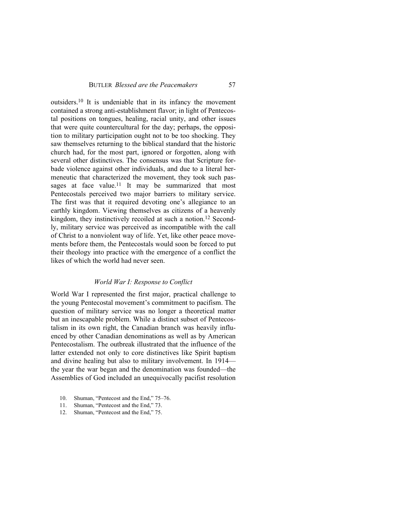outsiders.10 It is undeniable that in its infancy the movement contained a strong anti-establishment flavor; in light of Pentecostal positions on tongues, healing, racial unity, and other issues that were quite countercultural for the day; perhaps, the opposition to military participation ought not to be too shocking. They saw themselves returning to the biblical standard that the historic church had, for the most part, ignored or forgotten, along with several other distinctives. The consensus was that Scripture forbade violence against other individuals, and due to a literal hermeneutic that characterized the movement, they took such passages at face value.<sup>11</sup> It may be summarized that most Pentecostals perceived two major barriers to military service. The first was that it required devoting one's allegiance to an earthly kingdom. Viewing themselves as citizens of a heavenly kingdom, they instinctively recoiled at such a notion.12 Secondly, military service was perceived as incompatible with the call of Christ to a nonviolent way of life. Yet, like other peace movements before them, the Pentecostals would soon be forced to put their theology into practice with the emergence of a conflict the likes of which the world had never seen.

### *World War I: Response to Conflict*

World War I represented the first major, practical challenge to the young Pentecostal movement's commitment to pacifism. The question of military service was no longer a theoretical matter but an inescapable problem. While a distinct subset of Pentecostalism in its own right, the Canadian branch was heavily influenced by other Canadian denominations as well as by American Pentecostalism. The outbreak illustrated that the influence of the latter extended not only to core distinctives like Spirit baptism and divine healing but also to military involvement. In 1914 the year the war began and the denomination was founded—the Assemblies of God included an unequivocally pacifist resolution

- 10. Shuman, "Pentecost and the End," 75–76.
- 11. Shuman, "Pentecost and the End," 73.
- 12. Shuman, "Pentecost and the End," 75.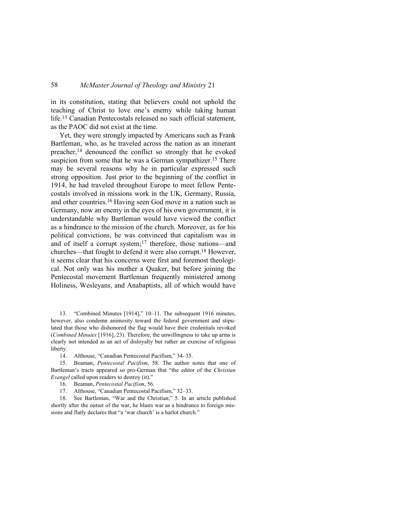in its constitution, stating that believers could not uphold the teaching of Christ to love one's enemy while taking human life.13 Canadian Pentecostals released no such official statement, as the PAOC did not exist at the time.

Yet, they were strongly impacted by Americans such as Frank Bartleman, who, as he traveled across the nation as an itinerant preacher,14 denounced the conflict so strongly that he evoked suspicion from some that he was a German sympathizer.<sup>15</sup> There may be several reasons why he in particular expressed such strong opposition. Just prior to the beginning of the conflict in 1914, he had traveled throughout Europe to meet fellow Pentecostals involved in missions work in the UK, Germany, Russia, and other countries.16 Having seen God move in a nation such as Germany, now an enemy in the eyes of his own government, it is understandable why Bartleman would have viewed the conflict as a hindrance to the mission of the church. Moreover, as for his political convictions, he was convinced that capitalism was in and of itself a corrupt system;<sup>17</sup> therefore, those nations—and churches—that fought to defend it were also corrupt. <sup>18</sup> However, it seems clear that his concerns were first and foremost theological. Not only was his mother a Quaker, but before joining the Pentecostal movement Bartleman frequently ministered among Holiness, Wesleyans, and Anabaptists, all of which would have

13. "Combined Minutes [1914]," 10–11. The subsequent 1916 minutes, however, also condemn animosity toward the federal government and stipulated that those who dishonored the flag would have their credentials revoked (*Combined Minutes* [1916], 23). Therefore, the unwillingness to take up arms is clearly not intended as an act of disloyalty but rather an exercise of religious liberty.

14. Althouse, "Canadian Pentecostal Pacifism," 34–35.

15. Beaman, *Pentecostal Pacifism*, 58. The author notes that one of Bartleman's tracts appeared so pro-German that "the editor of the *Christian Evangel* called upon readers to destroy (it)."

16. Beaman, *Pentecostal Pacifism*, 56.

17. Althouse, "Canadian Pentecostal Pacifism," 32–33.

18. See Bartleman, "War and the Christian," 5. In an article published shortly after the outset of the war, he blasts war as a hindrance to foreign missions and flatly declares that "a 'war church' is a harlot church."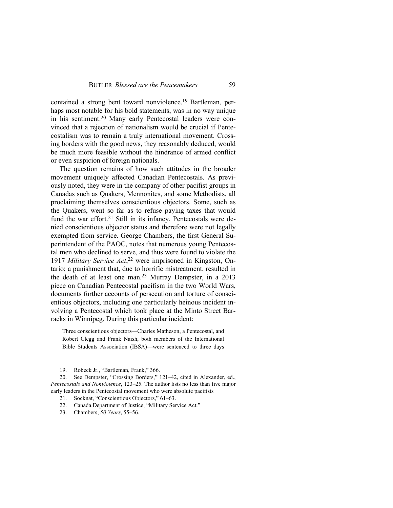contained a strong bent toward nonviolence.19 Bartleman, perhaps most notable for his bold statements, was in no way unique in his sentiment.20 Many early Pentecostal leaders were convinced that a rejection of nationalism would be crucial if Pentecostalism was to remain a truly international movement. Crossing borders with the good news, they reasonably deduced, would be much more feasible without the hindrance of armed conflict or even suspicion of foreign nationals.

The question remains of how such attitudes in the broader movement uniquely affected Canadian Pentecostals. As previously noted, they were in the company of other pacifist groups in Canadas such as Quakers, Mennonites, and some Methodists, all proclaiming themselves conscientious objectors. Some, such as the Quakers, went so far as to refuse paying taxes that would fund the war effort.<sup>21</sup> Still in its infancy, Pentecostals were denied conscientious objector status and therefore were not legally exempted from service. George Chambers, the first General Superintendent of the PAOC, notes that numerous young Pentecostal men who declined to serve, and thus were found to violate the 1917 *Military Service Act*, 22 were imprisoned in Kingston, Ontario; a punishment that, due to horrific mistreatment, resulted in the death of at least one man.23 Murray Dempster, in a 2013 piece on Canadian Pentecostal pacifism in the two World Wars, documents further accounts of persecution and torture of conscientious objectors, including one particularly heinous incident involving a Pentecostal which took place at the Minto Street Barracks in Winnipeg. During this particular incident:

Three conscientious objectors—Charles Matheson, a Pentecostal, and Robert Clegg and Frank Naish, both members of the International Bible Students Association (IBSA)—were sentenced to three days

19. Robeck Jr., "Bartleman, Frank," 366.

20. See Dempster, "Crossing Borders," 121–42, cited in Alexander, ed., *Pentecostals and Nonviolence*, 123–25. The author lists no less than five major early leaders in the Pentecostal movement who were absolute pacifists

21. Socknat, "Conscientious Objectors," 61–63.

22. Canada Department of Justice, "Military Service Act."

23. Chambers, *50 Years*, 55–56.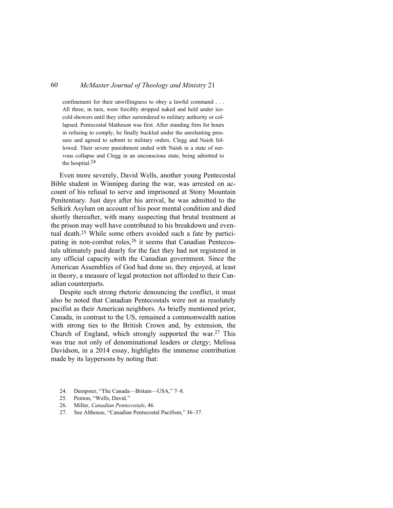confinement for their unwillingness to obey a lawful command . . . All three, in turn, were forcibly stripped naked and held under icecold showers until they either surrendered to military authority or collapsed. Pentecostal Matheson was first. After standing firm for hours in refusing to comply, he finally buckled under the unrelenting pressure and agreed to submit to military orders. Clegg and Naish followed. Their severe punishment ended with Naish in a state of nervous collapse and Clegg in an unconscious state, being admitted to the hospital.24

Even more severely, David Wells, another young Pentecostal Bible student in Winnipeg during the war, was arrested on account of his refusal to serve and imprisoned at Stony Mountain Penitentiary. Just days after his arrival, he was admitted to the Selkirk Asylum on account of his poor mental condition and died shortly thereafter, with many suspecting that brutal treatment at the prison may well have contributed to his breakdown and eventual death.25 While some others avoided such a fate by participating in non-combat roles,<sup>26</sup> it seems that Canadian Pentecostals ultimately paid dearly for the fact they had not registered in any official capacity with the Canadian government. Since the American Assemblies of God had done so, they enjoyed, at least in theory, a measure of legal protection not afforded to their Canadian counterparts.

Despite such strong rhetoric denouncing the conflict, it must also be noted that Canadian Pentecostals were not as resolutely pacifist as their American neighbors. As briefly mentioned prior, Canada, in contrast to the US, remained a commonwealth nation with strong ties to the British Crown and, by extension, the Church of England, which strongly supported the war. <sup>27</sup> This was true not only of denominational leaders or clergy; Melissa Davidson, in a 2014 essay, highlights the immense contribution made by its laypersons by noting that:

- 24. Dempster, "The Canada—Britain—USA," 7–8.
- 25. Penton, "Wells, David."
- 26. Miller, *Canadian Pentecostals*, 46.
- 27. See Althouse, "Canadian Pentecostal Pacifism," 36–37.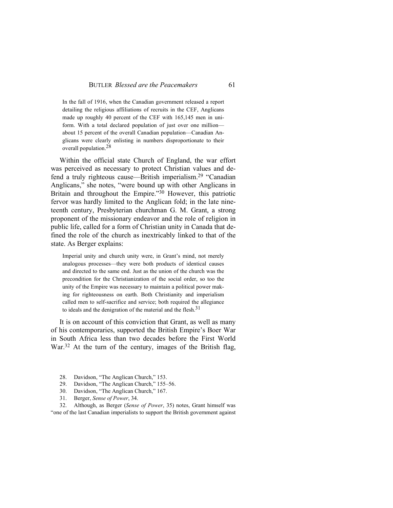In the fall of 1916, when the Canadian government released a report detailing the religious affiliations of recruits in the CEF, Anglicans made up roughly 40 percent of the CEF with 165,145 men in uniform. With a total declared population of just over one million about 15 percent of the overall Canadian population—Canadian Anglicans were clearly enlisting in numbers disproportionate to their overall population.28

Within the official state Church of England, the war effort was perceived as necessary to protect Christian values and defend a truly righteous cause—British imperialism.29 "Canadian Anglicans," she notes, "were bound up with other Anglicans in Britain and throughout the Empire."30 However, this patriotic fervor was hardly limited to the Anglican fold; in the late nineteenth century, Presbyterian churchman G. M. Grant, a strong proponent of the missionary endeavor and the role of religion in public life, called for a form of Christian unity in Canada that defined the role of the church as inextricably linked to that of the state. As Berger explains:

Imperial unity and church unity were, in Grant's mind, not merely analogous processes—they were both products of identical causes and directed to the same end. Just as the union of the church was the precondition for the Christianization of the social order, so too the unity of the Empire was necessary to maintain a political power making for righteousness on earth. Both Christianity and imperialism called men to self-sacrifice and service; both required the allegiance to ideals and the denigration of the material and the flesh.<sup>31</sup>

It is on account of this conviction that Grant, as well as many of his contemporaries, supported the British Empire's Boer War in South Africa less than two decades before the First World War.<sup>32</sup> At the turn of the century, images of the British flag,

- 28. Davidson, "The Anglican Church," 153.
- 29. Davidson, "The Anglican Church," 155–56.
- 30. Davidson, "The Anglican Church," 167.
- 31. Berger, *Sense of Power*, 34.

32. Although, as Berger (*Sense of Power*, 35) notes, Grant himself was "one of the last Canadian imperialists to support the British government against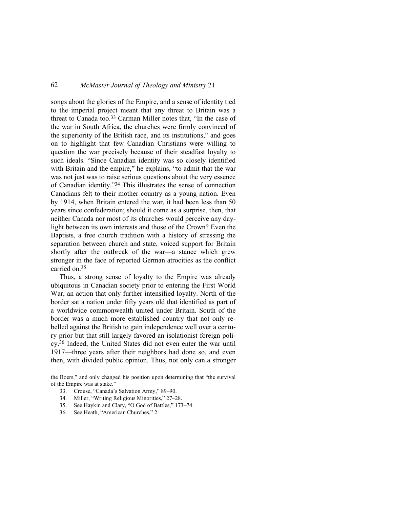songs about the glories of the Empire, and a sense of identity tied to the imperial project meant that any threat to Britain was a threat to Canada too.33 Carman Miller notes that, "In the case of the war in South Africa, the churches were firmly convinced of the superiority of the British race, and its institutions," and goes on to highlight that few Canadian Christians were willing to question the war precisely because of their steadfast loyalty to such ideals. "Since Canadian identity was so closely identified with Britain and the empire," he explains, "to admit that the war was not just was to raise serious questions about the very essence of Canadian identity."34 This illustrates the sense of connection Canadians felt to their mother country as a young nation. Even by 1914, when Britain entered the war, it had been less than 50 years since confederation; should it come as a surprise, then, that neither Canada nor most of its churches would perceive any daylight between its own interests and those of the Crown? Even the Baptists, a free church tradition with a history of stressing the separation between church and state, voiced support for Britain shortly after the outbreak of the war—a stance which grew stronger in the face of reported German atrocities as the conflict carried on.<sup>35</sup>

Thus, a strong sense of loyalty to the Empire was already ubiquitous in Canadian society prior to entering the First World War, an action that only further intensified loyalty. North of the border sat a nation under fifty years old that identified as part of a worldwide commonwealth united under Britain. South of the border was a much more established country that not only rebelled against the British to gain independence well over a century prior but that still largely favored an isolationist foreign policy.36 Indeed, the United States did not even enter the war until 1917—three years after their neighbors had done so, and even then, with divided public opinion. Thus, not only can a stronger

the Boers," and only changed his position upon determining that "the survival of the Empire was at stake."

- 33. Crouse, "Canada's Salvation Army," 89–90.
- 34. Miller, "Writing Religious Minorities," 27–28.
- 35. See Haykin and Clary, "O God of Battles," 173–74.
- 36. See Heath, "American Churches," 2.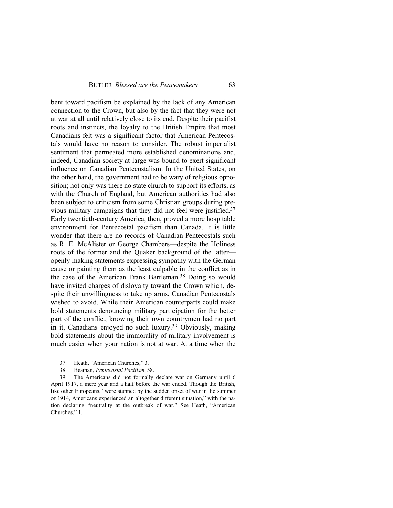bent toward pacifism be explained by the lack of any American connection to the Crown, but also by the fact that they were not at war at all until relatively close to its end. Despite their pacifist roots and instincts, the loyalty to the British Empire that most Canadians felt was a significant factor that American Pentecostals would have no reason to consider. The robust imperialist sentiment that permeated more established denominations and, indeed, Canadian society at large was bound to exert significant influence on Canadian Pentecostalism. In the United States, on the other hand, the government had to be wary of religious opposition; not only was there no state church to support its efforts, as with the Church of England, but American authorities had also been subject to criticism from some Christian groups during previous military campaigns that they did not feel were justified.<sup>37</sup> Early twentieth-century America, then, proved a more hospitable environment for Pentecostal pacifism than Canada. It is little wonder that there are no records of Canadian Pentecostals such as R. E. McAlister or George Chambers—despite the Holiness roots of the former and the Quaker background of the latter openly making statements expressing sympathy with the German cause or painting them as the least culpable in the conflict as in the case of the American Frank Bartleman.38 Doing so would have invited charges of disloyalty toward the Crown which, despite their unwillingness to take up arms, Canadian Pentecostals wished to avoid. While their American counterparts could make bold statements denouncing military participation for the better part of the conflict, knowing their own countrymen had no part in it, Canadians enjoyed no such luxury.39 Obviously, making bold statements about the immorality of military involvement is much easier when your nation is not at war. At a time when the

- 37. Heath, "American Churches," 3.
- 38. Beaman, *Pentecostal Pacifism*, 58.

39. The Americans did not formally declare war on Germany until 6 April 1917, a mere year and a half before the war ended. Though the British, like other Europeans, "were stunned by the sudden onset of war in the summer of 1914, Americans experienced an altogether different situation," with the nation declaring "neutrality at the outbreak of war." See Heath, "American Churches," 1.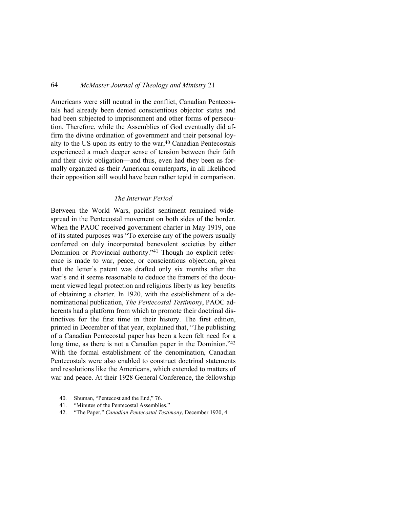Americans were still neutral in the conflict, Canadian Pentecostals had already been denied conscientious objector status and had been subjected to imprisonment and other forms of persecution. Therefore, while the Assemblies of God eventually did affirm the divine ordination of government and their personal loyalty to the US upon its entry to the war, $40$  Canadian Pentecostals experienced a much deeper sense of tension between their faith and their civic obligation—and thus, even had they been as formally organized as their American counterparts, in all likelihood their opposition still would have been rather tepid in comparison.

#### *The Interwar Period*

Between the World Wars, pacifist sentiment remained widespread in the Pentecostal movement on both sides of the border. When the PAOC received government charter in May 1919, one of its stated purposes was "To exercise any of the powers usually conferred on duly incorporated benevolent societies by either Dominion or Provincial authority."41 Though no explicit reference is made to war, peace, or conscientious objection, given that the letter's patent was drafted only six months after the war's end it seems reasonable to deduce the framers of the document viewed legal protection and religious liberty as key benefits of obtaining a charter. In 1920, with the establishment of a denominational publication, *The Pentecostal Testimony*, PAOC adherents had a platform from which to promote their doctrinal distinctives for the first time in their history. The first edition, printed in December of that year, explained that, "The publishing of a Canadian Pentecostal paper has been a keen felt need for a long time, as there is not a Canadian paper in the Dominion.<sup>742</sup> With the formal establishment of the denomination, Canadian Pentecostals were also enabled to construct doctrinal statements and resolutions like the Americans, which extended to matters of war and peace. At their 1928 General Conference, the fellowship

- 40. Shuman, "Pentecost and the End," 76.
- 41. "Minutes of the Pentecostal Assemblies."
- 42. "The Paper," *Canadian Pentecostal Testimony*, December 1920, 4.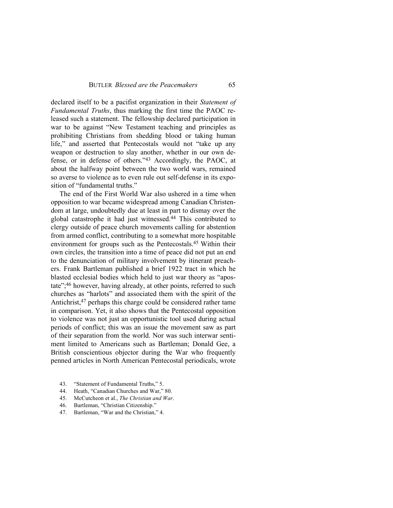declared itself to be a pacifist organization in their *Statement of Fundamental Truths*, thus marking the first time the PAOC released such a statement. The fellowship declared participation in war to be against "New Testament teaching and principles as prohibiting Christians from shedding blood or taking human life," and asserted that Pentecostals would not "take up any weapon or destruction to slay another, whether in our own defense, or in defense of others."43 Accordingly, the PAOC, at about the halfway point between the two world wars, remained so averse to violence as to even rule out self-defense in its exposition of "fundamental truths."

The end of the First World War also ushered in a time when opposition to war became widespread among Canadian Christendom at large, undoubtedly due at least in part to dismay over the global catastrophe it had just witnessed.44 This contributed to clergy outside of peace church movements calling for abstention from armed conflict, contributing to a somewhat more hospitable environment for groups such as the Pentecostals.45 Within their own circles, the transition into a time of peace did not put an end to the denunciation of military involvement by itinerant preachers. Frank Bartleman published a brief 1922 tract in which he blasted ecclesial bodies which held to just war theory as "apostate";46 however, having already, at other points, referred to such churches as "harlots" and associated them with the spirit of the Antichrist,<sup>47</sup> perhaps this charge could be considered rather tame in comparison. Yet, it also shows that the Pentecostal opposition to violence was not just an opportunistic tool used during actual periods of conflict; this was an issue the movement saw as part of their separation from the world. Nor was such interwar sentiment limited to Americans such as Bartleman; Donald Gee, a British conscientious objector during the War who frequently penned articles in North American Pentecostal periodicals, wrote

- 43. "Statement of Fundamental Truths," 5.
- 44. Heath, "Canadian Churches and War," 80.
- 45. McCutcheon et al., *The Christian and War*.
- 46. Bartleman, "Christian Citizenship."
- 47. Bartleman, "War and the Christian," 4.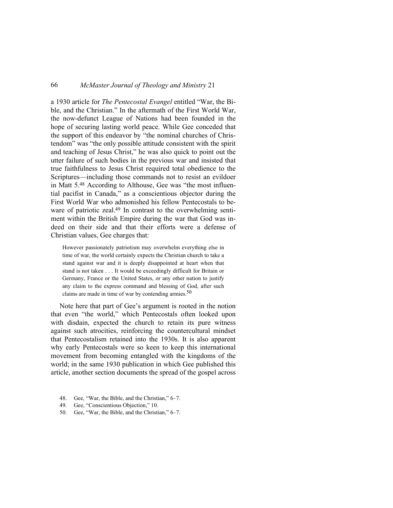a 1930 article for *The Pentecostal Evangel* entitled "War, the Bible, and the Christian." In the aftermath of the First World War, the now-defunct League of Nations had been founded in the hope of securing lasting world peace. While Gee conceded that the support of this endeavor by "the nominal churches of Christendom" was "the only possible attitude consistent with the spirit and teaching of Jesus Christ," he was also quick to point out the utter failure of such bodies in the previous war and insisted that true faithfulness to Jesus Christ required total obedience to the Scriptures—including those commands not to resist an evildoer in Matt 5.48 According to Althouse, Gee was "the most influential pacifist in Canada," as a conscientious objector during the First World War who admonished his fellow Pentecostals to beware of patriotic zeal.<sup>49</sup> In contrast to the overwhelming sentiment within the British Empire during the war that God was indeed on their side and that their efforts were a defense of Christian values, Gee charges that:

However passionately patriotism may overwhelm everything else in time of war, the world certainly expects the Christian church to take a stand against war and it is deeply disappointed at heart when that stand is not taken . . . It would be exceedingly difficult for Britain or Germany, France or the United States, or any other nation to justify any claim to the express command and blessing of God, after such claims are made in time of war by contending armies.<sup>50</sup>

Note here that part of Gee's argument is rooted in the notion that even "the world," which Pentecostals often looked upon with disdain, expected the church to retain its pure witness against such atrocities, reinforcing the countercultural mindset that Pentecostalism retained into the 1930s. It is also apparent why early Pentecostals were so keen to keep this international movement from becoming entangled with the kingdoms of the world; in the same 1930 publication in which Gee published this article, another section documents the spread of the gospel across

- 48. Gee, "War, the Bible, and the Christian," 6–7.
- 49. Gee, "Conscientious Objection," 10.
- 50. Gee, "War, the Bible, and the Christian," 6–7.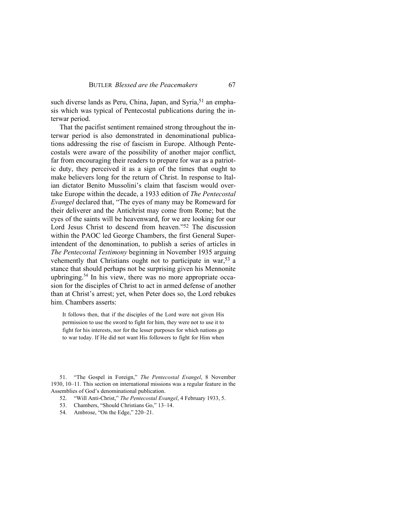such diverse lands as Peru, China, Japan, and Syria,<sup>51</sup> an emphasis which was typical of Pentecostal publications during the interwar period.

That the pacifist sentiment remained strong throughout the interwar period is also demonstrated in denominational publications addressing the rise of fascism in Europe. Although Pentecostals were aware of the possibility of another major conflict, far from encouraging their readers to prepare for war as a patriotic duty, they perceived it as a sign of the times that ought to make believers long for the return of Christ. In response to Italian dictator Benito Mussolini's claim that fascism would overtake Europe within the decade, a 1933 edition of *The Pentecostal Evangel* declared that, "The eyes of many may be Romeward for their deliverer and the Antichrist may come from Rome; but the eyes of the saints will be heavenward, for we are looking for our Lord Jesus Christ to descend from heaven."52 The discussion within the PAOC led George Chambers, the first General Superintendent of the denomination, to publish a series of articles in *The Pentecostal Testimony* beginning in November 1935 arguing vehemently that Christians ought not to participate in war,<sup>53</sup> a stance that should perhaps not be surprising given his Mennonite upbringing.54 In his view, there was no more appropriate occasion for the disciples of Christ to act in armed defense of another than at Christ's arrest; yet, when Peter does so, the Lord rebukes him. Chambers asserts:

It follows then, that if the disciples of the Lord were not given His permission to use the sword to fight for him, they were not to use it to fight for his interests, nor for the lesser purposes for which nations go to war today. If He did not want His followers to fight for Him when

51. "The Gospel in Foreign," *The Pentecostal Evangel*, 8 November 1930, 10–11. This section on international missions was a regular feature in the Assemblies of God's denominational publication.

- 52. "Will Anti-Christ," *The Pentecostal Evangel*, 4 February 1933, 5.
- 53. Chambers, "Should Christians Go," 13–14.
- 54. Ambrose, "On the Edge," 220–21.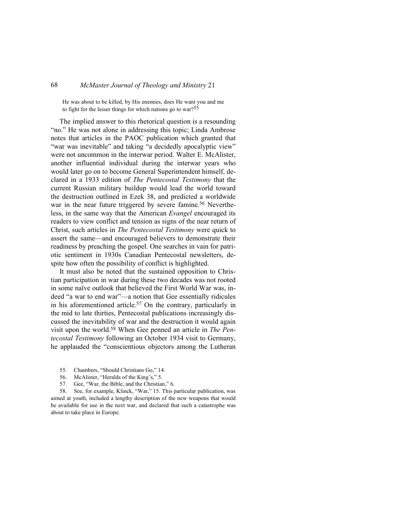He was about to be killed, by His enemies, does He want you and me to fight for the lesser things for which nations go to war?<sup>55</sup>

The implied answer to this rhetorical question is a resounding "no." He was not alone in addressing this topic; Linda Ambrose notes that articles in the PAOC publication which granted that "war was inevitable" and taking "a decidedly apocalyptic view" were not uncommon in the interwar period. Walter E. McAlister, another influential individual during the interwar years who would later go on to become General Superintendent himself, declared in a 1933 edition of *The Pentecostal Testimony* that the current Russian military buildup would lead the world toward the destruction outlined in Ezek 38, and predicted a worldwide war in the near future triggered by severe famine.<sup>56</sup> Nevertheless, in the same way that the American *Evangel* encouraged its readers to view conflict and tension as signs of the near return of Christ, such articles in *The Pentecostal Testimony* were quick to assert the same—and encouraged believers to demonstrate their readiness by preaching the gospel. One searches in vain for patriotic sentiment in 1930s Canadian Pentecostal newsletters, despite how often the possibility of conflict is highlighted.

It must also be noted that the sustained opposition to Christian participation in war during these two decades was not rooted in some naïve outlook that believed the First World War was, indeed "a war to end war"—a notion that Gee essentially ridicules in his aforementioned article.57 On the contrary, particularly in the mid to late thirties, Pentecostal publications increasingly discussed the inevitability of war and the destruction it would again visit upon the world.58 When Gee penned an article in *The Pentecostal Testimony* following an October 1934 visit to Germany, he applauded the "conscientious objectors among the Lutheran

- 55. Chambers, "Should Christians Go," 14.
- 56. McAlister, "Heralds of the King's," 5.
- 57. Gee, "War, the Bible, and the Christian," 6.

58. See, for example, Klinck, "War," 15. This particular publication, was aimed at youth, included a lengthy description of the new weapons that would be available for use in the next war, and declared that such a catastrophe was about to take place in Europe.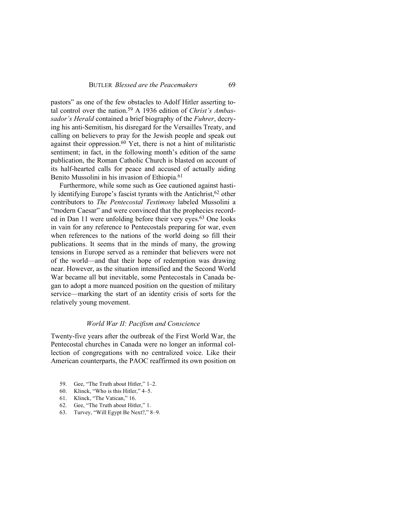pastors" as one of the few obstacles to Adolf Hitler asserting total control over the nation.59 A 1936 edition of *Christ's Ambassador's Herald* contained a brief biography of the *Fuhrer*, decrying his anti-Semitism, his disregard for the Versailles Treaty, and calling on believers to pray for the Jewish people and speak out against their oppression. $60$  Yet, there is not a hint of militaristic sentiment; in fact, in the following month's edition of the same publication, the Roman Catholic Church is blasted on account of its half-hearted calls for peace and accused of actually aiding Benito Mussolini in his invasion of Ethiopia.<sup>61</sup>

Furthermore, while some such as Gee cautioned against hastily identifying Europe's fascist tyrants with the Antichrist,<sup>62</sup> other contributors to *The Pentecostal Testimony* labeled Mussolini a "modern Caesar" and were convinced that the prophecies recorded in Dan 11 were unfolding before their very eyes.63 One looks in vain for any reference to Pentecostals preparing for war, even when references to the nations of the world doing so fill their publications. It seems that in the minds of many, the growing tensions in Europe served as a reminder that believers were not of the world—and that their hope of redemption was drawing near. However, as the situation intensified and the Second World War became all but inevitable, some Pentecostals in Canada began to adopt a more nuanced position on the question of military service—marking the start of an identity crisis of sorts for the relatively young movement.

### *World War II: Pacifism and Conscience*

Twenty-five years after the outbreak of the First World War, the Pentecostal churches in Canada were no longer an informal collection of congregations with no centralized voice. Like their American counterparts, the PAOC reaffirmed its own position on

- 59. Gee, "The Truth about Hitler," 1–2.
- 60. Klinck, "Who is this Hitler," 4–5.
- 61. Klinck, "The Vatican," 16.
- 62. Gee, "The Truth about Hitler," 1.
- 63. Turvey, "Will Egypt Be Next?," 8–9.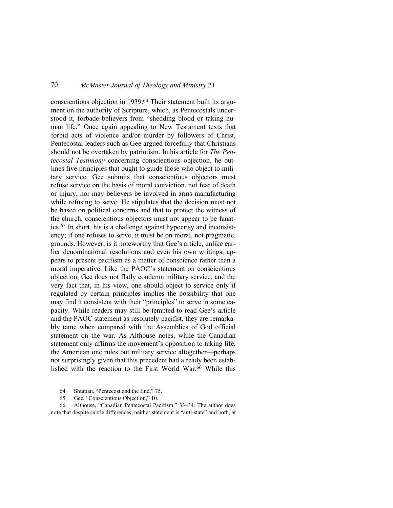conscientious objection in 1939.64 Their statement built its argument on the authority of Scripture, which, as Pentecostals understood it, forbade believers from "shedding blood or taking human life." Once again appealing to New Testament texts that forbid acts of violence and/or murder by followers of Christ, Pentecostal leaders such as Gee argued forcefully that Christians should not be overtaken by patriotism. In his article for *The Pentecostal Testimony* concerning conscientious objection, he outlines five principles that ought to guide those who object to military service. Gee submits that conscientious objectors must refuse service on the basis of moral conviction, not fear of death or injury, nor may believers be involved in arms manufacturing while refusing to serve. He stipulates that the decision must not be based on political concerns and that to protect the witness of the church, conscientious objectors must not appear to be fanatics.65 In short, his is a challenge against hypocrisy and inconsistency; if one refuses to serve, it must be on moral, not pragmatic, grounds. However, is it noteworthy that Gee's article, unlike earlier denominational resolutions and even his own writings, appears to present pacifism as a matter of conscience rather than a moral imperative. Like the PAOC's statement on conscientious objection, Gee does not flatly condemn military service, and the very fact that, in his view, one should object to service only if regulated by certain principles implies the possibility that one may find it consistent with their "principles" to serve in some capacity. While readers may still be tempted to read Gee's article and the PAOC statement as resolutely pacifist, they are remarkably tame when compared with the Assemblies of God official statement on the war. As Althouse notes, while the Canadian statement only affirms the movement's opposition to taking life, the American one rules out military service altogether—perhaps not surprisingly given that this precedent had already been established with the reaction to the First World War.66 While this

- 64. Shuman, "Pentecost and the End," 75.
- 65. Gee, "Conscientious Objection," 10.

66. Althouse, "Canadian Pentecostal Pacifism," 33–34. The author does note that despite subtle differences, neither statement is "anti-state" and both, at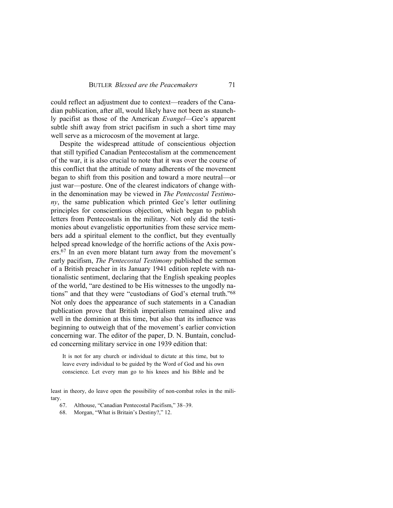could reflect an adjustment due to context—readers of the Canadian publication, after all, would likely have not been as staunchly pacifist as those of the American *Evangel—*Gee's apparent subtle shift away from strict pacifism in such a short time may well serve as a microcosm of the movement at large.

Despite the widespread attitude of conscientious objection that still typified Canadian Pentecostalism at the commencement of the war, it is also crucial to note that it was over the course of this conflict that the attitude of many adherents of the movement began to shift from this position and toward a more neutral—or just war—posture. One of the clearest indicators of change within the denomination may be viewed in *The Pentecostal Testimony*, the same publication which printed Gee's letter outlining principles for conscientious objection, which began to publish letters from Pentecostals in the military. Not only did the testimonies about evangelistic opportunities from these service members add a spiritual element to the conflict, but they eventually helped spread knowledge of the horrific actions of the Axis powers.67 In an even more blatant turn away from the movement's early pacifism, *The Pentecostal Testimony* published the sermon of a British preacher in its January 1941 edition replete with nationalistic sentiment, declaring that the English speaking peoples of the world, "are destined to be His witnesses to the ungodly nations" and that they were "custodians of God's eternal truth."<sup>68</sup> Not only does the appearance of such statements in a Canadian publication prove that British imperialism remained alive and well in the dominion at this time, but also that its influence was beginning to outweigh that of the movement's earlier conviction concerning war. The editor of the paper, D. N. Buntain, concluded concerning military service in one 1939 edition that:

It is not for any church or individual to dictate at this time, but to leave every individual to be guided by the Word of God and his own conscience. Let every man go to his knees and his Bible and be

least in theory, do leave open the possibility of non-combat roles in the military.

67. Althouse, "Canadian Pentecostal Pacifism," 38–39.

68. Morgan, "What is Britain's Destiny?," 12.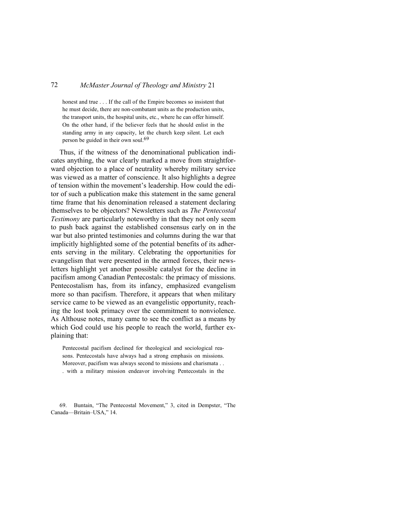honest and true . . . If the call of the Empire becomes so insistent that he must decide, there are non-combatant units as the production units, the transport units, the hospital units, etc., where he can offer himself. On the other hand, if the believer feels that he should enlist in the standing army in any capacity, let the church keep silent. Let each person be guided in their own soul.<sup>69</sup>

Thus, if the witness of the denominational publication indicates anything, the war clearly marked a move from straightforward objection to a place of neutrality whereby military service was viewed as a matter of conscience. It also highlights a degree of tension within the movement's leadership. How could the editor of such a publication make this statement in the same general time frame that his denomination released a statement declaring themselves to be objectors? Newsletters such as *The Pentecostal Testimony* are particularly noteworthy in that they not only seem to push back against the established consensus early on in the war but also printed testimonies and columns during the war that implicitly highlighted some of the potential benefits of its adherents serving in the military. Celebrating the opportunities for evangelism that were presented in the armed forces, their newsletters highlight yet another possible catalyst for the decline in pacifism among Canadian Pentecostals: the primacy of missions. Pentecostalism has, from its infancy, emphasized evangelism more so than pacifism. Therefore, it appears that when military service came to be viewed as an evangelistic opportunity, reaching the lost took primacy over the commitment to nonviolence. As Althouse notes, many came to see the conflict as a means by which God could use his people to reach the world, further explaining that:

Pentecostal pacifism declined for theological and sociological reasons. Pentecostals have always had a strong emphasis on missions. Moreover, pacifism was always second to missions and charismata . . . with a military mission endeavor involving Pentecostals in the

69. Buntain, "The Pentecostal Movement," 3, cited in Dempster, "The Canada—Britain–USA," 14.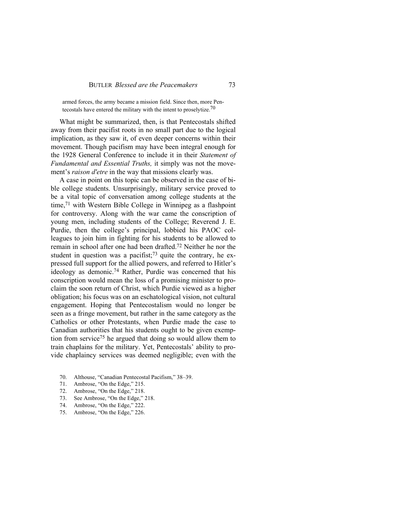armed forces, the army became a mission field. Since then, more Pentecostals have entered the military with the intent to proselytize.<sup>70</sup>

What might be summarized, then, is that Pentecostals shifted away from their pacifist roots in no small part due to the logical implication, as they saw it, of even deeper concerns within their movement. Though pacifism may have been integral enough for the 1928 General Conference to include it in their *Statement of Fundamental and Essential Truths,* it simply was not the movement's *raison d'etre* in the way that missions clearly was.

A case in point on this topic can be observed in the case of bible college students. Unsurprisingly, military service proved to be a vital topic of conversation among college students at the time,71 with Western Bible College in Winnipeg as a flashpoint for controversy. Along with the war came the conscription of young men, including students of the College; Reverend J. E. Purdie, then the college's principal, lobbied his PAOC colleagues to join him in fighting for his students to be allowed to remain in school after one had been drafted.72 Neither he nor the student in question was a pacifist;<sup>73</sup> quite the contrary, he expressed full support for the allied powers, and referred to Hitler's ideology as demonic.74 Rather, Purdie was concerned that his conscription would mean the loss of a promising minister to proclaim the soon return of Christ, which Purdie viewed as a higher obligation; his focus was on an eschatological vision, not cultural engagement. Hoping that Pentecostalism would no longer be seen as a fringe movement, but rather in the same category as the Catholics or other Protestants, when Purdie made the case to Canadian authorities that his students ought to be given exemption from service<sup>75</sup> he argued that doing so would allow them to train chaplains for the military. Yet, Pentecostals' ability to provide chaplaincy services was deemed negligible; even with the

- 70. Althouse, "Canadian Pentecostal Pacifism," 38–39.
- 71. Ambrose, "On the Edge," 215.
- 72. Ambrose, "On the Edge," 218.
- 73. See Ambrose, "On the Edge," 218.
- 74. Ambrose, "On the Edge," 222.
- 75. Ambrose, "On the Edge," 226.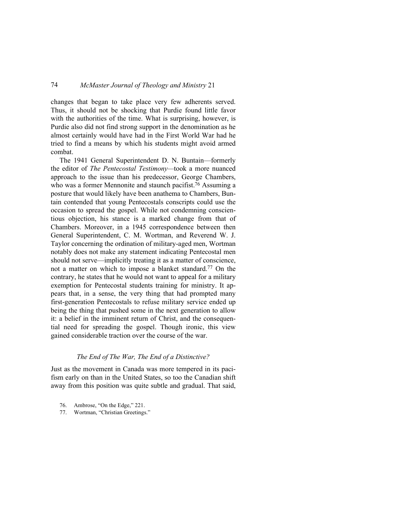changes that began to take place very few adherents served. Thus, it should not be shocking that Purdie found little favor with the authorities of the time. What is surprising, however, is Purdie also did not find strong support in the denomination as he almost certainly would have had in the First World War had he tried to find a means by which his students might avoid armed combat.

The 1941 General Superintendent D. N. Buntain—formerly the editor of *The Pentecostal Testimony—*took a more nuanced approach to the issue than his predecessor, George Chambers, who was a former Mennonite and staunch pacifist.<sup>76</sup> Assuming a posture that would likely have been anathema to Chambers, Buntain contended that young Pentecostals conscripts could use the occasion to spread the gospel. While not condemning conscientious objection, his stance is a marked change from that of Chambers. Moreover, in a 1945 correspondence between then General Superintendent, C. M. Wortman, and Reverend W. J. Taylor concerning the ordination of military-aged men, Wortman notably does not make any statement indicating Pentecostal men should not serve—implicitly treating it as a matter of conscience, not a matter on which to impose a blanket standard.77 On the contrary, he states that he would not want to appeal for a military exemption for Pentecostal students training for ministry. It appears that, in a sense, the very thing that had prompted many first-generation Pentecostals to refuse military service ended up being the thing that pushed some in the next generation to allow it: a belief in the imminent return of Christ, and the consequential need for spreading the gospel. Though ironic, this view gained considerable traction over the course of the war.

### *The End of The War, The End of a Distinctive?*

Just as the movement in Canada was more tempered in its pacifism early on than in the United States, so too the Canadian shift away from this position was quite subtle and gradual. That said,

- 76. Ambrose, "On the Edge," 221.
- 77. Wortman, "Christian Greetings."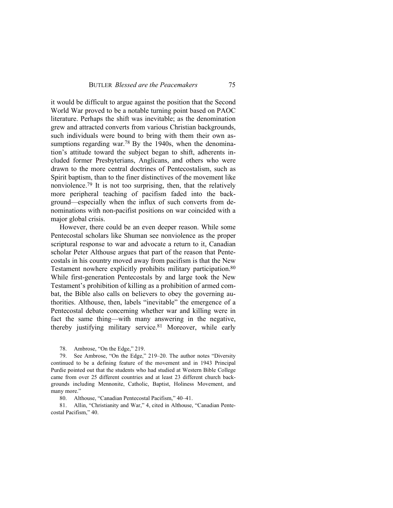it would be difficult to argue against the position that the Second World War proved to be a notable turning point based on PAOC literature. Perhaps the shift was inevitable; as the denomination grew and attracted converts from various Christian backgrounds, such individuals were bound to bring with them their own assumptions regarding war.<sup>78</sup> By the 1940s, when the denomination's attitude toward the subject began to shift, adherents included former Presbyterians, Anglicans, and others who were drawn to the more central doctrines of Pentecostalism, such as Spirit baptism, than to the finer distinctives of the movement like nonviolence.79 It is not too surprising, then, that the relatively more peripheral teaching of pacifism faded into the background—especially when the influx of such converts from denominations with non-pacifist positions on war coincided with a major global crisis.

However, there could be an even deeper reason. While some Pentecostal scholars like Shuman see nonviolence as the proper scriptural response to war and advocate a return to it, Canadian scholar Peter Althouse argues that part of the reason that Pentecostals in his country moved away from pacifism is that the New Testament nowhere explicitly prohibits military participation.<sup>80</sup> While first-generation Pentecostals by and large took the New Testament's prohibition of killing as a prohibition of armed combat, the Bible also calls on believers to obey the governing authorities. Althouse, then, labels "inevitable" the emergence of a Pentecostal debate concerning whether war and killing were in fact the same thing—with many answering in the negative, thereby justifying military service.81 Moreover, while early

78. Ambrose, "On the Edge," 219.

79. See Ambrose, "On the Edge," 219–20. The author notes "Diversity continued to be a defining feature of the movement and in 1943 Principal Purdie pointed out that the students who had studied at Western Bible College came from over 25 different countries and at least 23 different church backgrounds including Mennonite, Catholic, Baptist, Holiness Movement, and many more."

80. Althouse, "Canadian Pentecostal Pacifism," 40–41.

81. Allin, "Christianity and War," 4, cited in Althouse, "Canadian Pentecostal Pacifism," 40.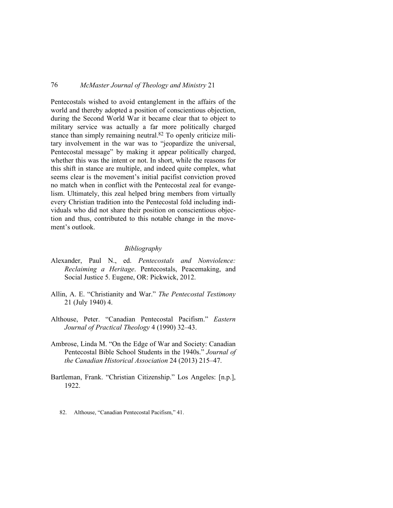Pentecostals wished to avoid entanglement in the affairs of the world and thereby adopted a position of conscientious objection, during the Second World War it became clear that to object to military service was actually a far more politically charged stance than simply remaining neutral.82 To openly criticize military involvement in the war was to "jeopardize the universal, Pentecostal message" by making it appear politically charged, whether this was the intent or not. In short, while the reasons for this shift in stance are multiple, and indeed quite complex, what seems clear is the movement's initial pacifist conviction proved no match when in conflict with the Pentecostal zeal for evangelism. Ultimately, this zeal helped bring members from virtually every Christian tradition into the Pentecostal fold including individuals who did not share their position on conscientious objection and thus, contributed to this notable change in the movement's outlook.

### *Bibliography*

- Alexander, Paul N., ed. *Pentecostals and Nonviolence: Reclaiming a Heritage*. Pentecostals, Peacemaking, and Social Justice 5. Eugene, OR: Pickwick, 2012.
- Allin, A. E. "Christianity and War." *The Pentecostal Testimony* 21 (July 1940) 4.
- Althouse, Peter. "Canadian Pentecostal Pacifism." *Eastern Journal of Practical Theology* 4 (1990) 32–43.
- Ambrose, Linda M. "On the Edge of War and Society: Canadian Pentecostal Bible School Students in the 1940s." *Journal of the Canadian Historical Association* 24 (2013) 215–47.
- Bartleman, Frank. "Christian Citizenship." Los Angeles: [n.p.], 1922.
	- 82. Althouse, "Canadian Pentecostal Pacifism," 41.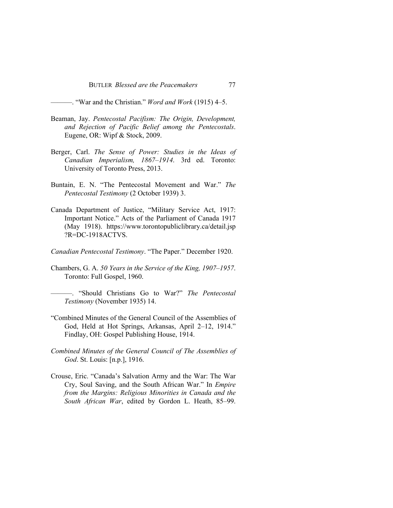———. "War and the Christian." *Word and Work* (1915) 4–5.

- Beaman, Jay. *Pentecostal Pacifism: The Origin, Development, and Rejection of Pacific Belief among the Pentecostals*. Eugene, OR: Wipf & Stock, 2009.
- Berger, Carl. *The Sense of Power: Studies in the Ideas of Canadian Imperialism, 1867–1914*. 3rd ed. Toronto: University of Toronto Press, 2013.
- Buntain, E. N. "The Pentecostal Movement and War." *The Pentecostal Testimony* (2 October 1939) 3.
- Canada Department of Justice, "Military Service Act, 1917: Important Notice." Acts of the Parliament of Canada 1917 (May 1918). https://www.torontopubliclibrary.ca/detail.jsp ?R=DC-1918ACTVS.
- *Canadian Pentecostal Testimony*. "The Paper." December 1920.
- Chambers, G. A. *50 Years in the Service of the King, 1907–1957*. Toronto: Full Gospel, 1960.
	- ———. "Should Christians Go to War?" *The Pentecostal Testimony* (November 1935) 14.
- "Combined Minutes of the General Council of the Assemblies of God, Held at Hot Springs, Arkansas, April 2–12, 1914." Findlay, OH: Gospel Publishing House, 1914.
- *Combined Minutes of the General Council of The Assemblies of God*. St. Louis: [n.p.], 1916.
- Crouse, Eric. "Canada's Salvation Army and the War: The War Cry, Soul Saving, and the South African War." In *Empire from the Margins: Religious Minorities in Canada and the South African War*, edited by Gordon L. Heath, 85–99.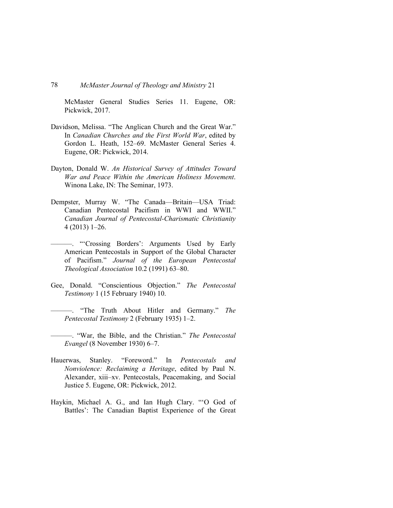McMaster General Studies Series 11. Eugene, OR: Pickwick, 2017.

- Davidson, Melissa. "The Anglican Church and the Great War." In *Canadian Churches and the First World War*, edited by Gordon L. Heath, 152–69. McMaster General Series 4. Eugene, OR: Pickwick, 2014.
- Dayton, Donald W. *An Historical Survey of Attitudes Toward War and Peace Within the American Holiness Movement*. Winona Lake, IN: The Seminar, 1973.
- Dempster, Murray W. "The Canada—Britain—USA Triad: Canadian Pentecostal Pacifism in WWI and WWII." *Canadian Journal of Pentecostal-Charismatic Christianity* 4 (2013) 1–26.
	- ———. "'Crossing Borders': Arguments Used by Early American Pentecostals in Support of the Global Character of Pacifism." *Journal of the European Pentecostal Theological Association* 10.2 (1991) 63–80.
- Gee, Donald. "Conscientious Objection." *The Pentecostal Testimony* 1 (15 February 1940) 10.
	- ———. "The Truth About Hitler and Germany." *The Pentecostal Testimony* 2 (February 1935) 1–2.
- ———. "War, the Bible, and the Christian." *The Pentecostal Evangel* (8 November 1930) 6–7.
- Hauerwas, Stanley. "Foreword." In *Pentecostals and Nonviolence: Reclaiming a Heritage*, edited by Paul N. Alexander, xiii–xv. Pentecostals, Peacemaking, and Social Justice 5. Eugene, OR: Pickwick, 2012.
- Haykin, Michael A. G., and Ian Hugh Clary. "'O God of Battles': The Canadian Baptist Experience of the Great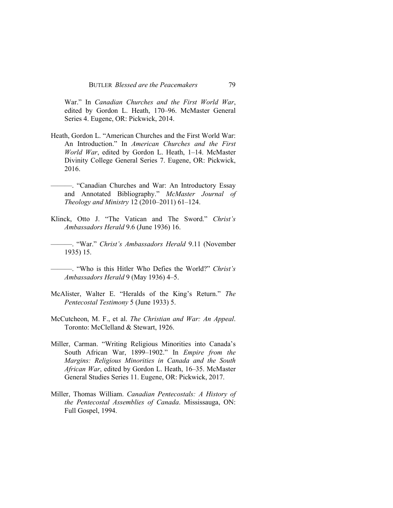War." In *Canadian Churches and the First World War*, edited by Gordon L. Heath, 170–96. McMaster General Series 4. Eugene, OR: Pickwick, 2014.

- Heath, Gordon L. "American Churches and the First World War: An Introduction." In *American Churches and the First World War*, edited by Gordon L. Heath, 1–14. McMaster Divinity College General Series 7. Eugene, OR: Pickwick, 2016.
- ———. "Canadian Churches and War: An Introductory Essay and Annotated Bibliography." *McMaster Journal of Theology and Ministry* 12 (2010–2011) 61–124.
- Klinck, Otto J. "The Vatican and The Sword." *Christ's Ambassadors Herald* 9.6 (June 1936) 16.
- ———. "War." *Christ's Ambassadors Herald* 9.11 (November 1935) 15.
- ———. "Who is this Hitler Who Defies the World?" *Christ's Ambassadors Herald* 9 (May 1936) 4–5.
- McAlister, Walter E. "Heralds of the King's Return." *The Pentecostal Testimony* 5 (June 1933) 5.
- McCutcheon, M. F., et al. *The Christian and War: An Appeal*. Toronto: McClelland & Stewart, 1926.
- Miller, Carman. "Writing Religious Minorities into Canada's South African War, 1899–1902." In *Empire from the Margins: Religious Minorities in Canada and the South African War*, edited by Gordon L. Heath, 16–35. McMaster General Studies Series 11. Eugene, OR: Pickwick, 2017.
- Miller, Thomas William. *Canadian Pentecostals: A History of the Pentecostal Assemblies of Canada*. Mississauga, ON: Full Gospel, 1994.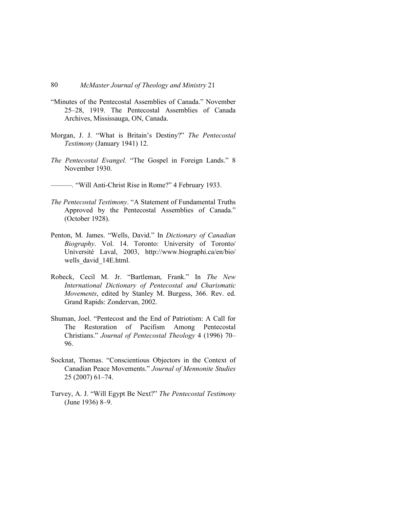- "Minutes of the Pentecostal Assemblies of Canada." November 25–28, 1919. The Pentecostal Assemblies of Canada Archives, Mississauga, ON, Canada.
- Morgan, J. J. "What is Britain's Destiny?" *The Pentecostal Testimony* (January 1941) 12.
- *The Pentecostal Evangel.* "The Gospel in Foreign Lands." 8 November 1930.
- ———*.* "Will Anti-Christ Rise in Rome?" 4 February 1933.
- *The Pentecostal Testimony*. "A Statement of Fundamental Truths Approved by the Pentecostal Assemblies of Canada." (October 1928).
- Penton, M. James. "Wells, David." In *Dictionary of Canadian Biography*. Vol. 14. Toronto: University of Toronto/ Université Laval, 2003, http://www.biographi.ca/en/bio/ wells\_david\_14E.html.
- Robeck, Cecil M. Jr. "Bartleman, Frank." In *The New International Dictionary of Pentecostal and Charismatic Movements*, edited by Stanley M. Burgess, 366. Rev. ed. Grand Rapids: Zondervan, 2002.
- Shuman, Joel. "Pentecost and the End of Patriotism: A Call for The Restoration of Pacifism Among Pentecostal Christians." *Journal of Pentecostal Theology* 4 (1996) 70– 96.
- Socknat, Thomas. "Conscientious Objectors in the Context of Canadian Peace Movements." *Journal of Mennonite Studies*  25 (2007) 61–74.
- Turvey, A. J. "Will Egypt Be Next?" *The Pentecostal Testimony* (June 1936) 8–9.